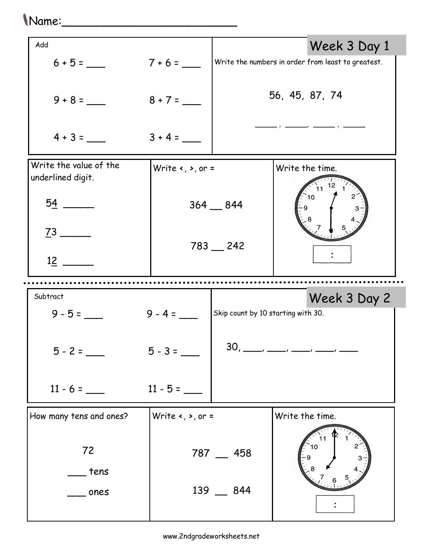## Name:\_\_\_\_\_\_\_\_\_\_\_\_\_\_\_\_\_\_\_\_\_\_\_\_\_

|            |           | Week 3 Day 1                                                                                                                                                                                          |
|------------|-----------|-------------------------------------------------------------------------------------------------------------------------------------------------------------------------------------------------------|
| $7 + 6 =$  |           | Write the numbers in order from least to greatest.                                                                                                                                                    |
| $8 + 7 =$  |           | 56, 45, 87, 74                                                                                                                                                                                        |
| $3 + 4 =$  |           |                                                                                                                                                                                                       |
|            |           | Write the time.<br>12                                                                                                                                                                                 |
|            |           | 11<br>10                                                                                                                                                                                              |
|            |           |                                                                                                                                                                                                       |
|            |           |                                                                                                                                                                                                       |
| Subtract   |           |                                                                                                                                                                                                       |
|            |           | Week 3 Day 2                                                                                                                                                                                          |
|            |           |                                                                                                                                                                                                       |
| $5 - 3 =$  |           | $30, \_\_\_\_\_\_\_\_\_\_\_\_\_$                                                                                                                                                                      |
| $11 - 5 =$ |           |                                                                                                                                                                                                       |
|            |           | Write the time.                                                                                                                                                                                       |
|            |           | 10                                                                                                                                                                                                    |
|            | $9 - 4 =$ | Write $\left\langle \cdot, \cdot \right\rangle$ or =<br>$364 - 844$<br>$783 - 242$<br>Skip count by 10 starting with 30.<br>Write $\left\langle \bullet, \bullet, \circ \right\rangle$ =<br>787 _ 458 |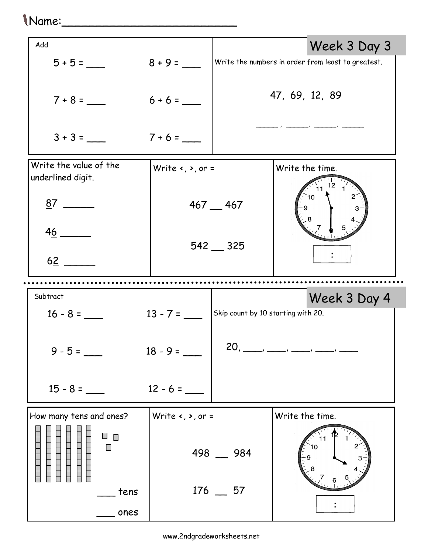